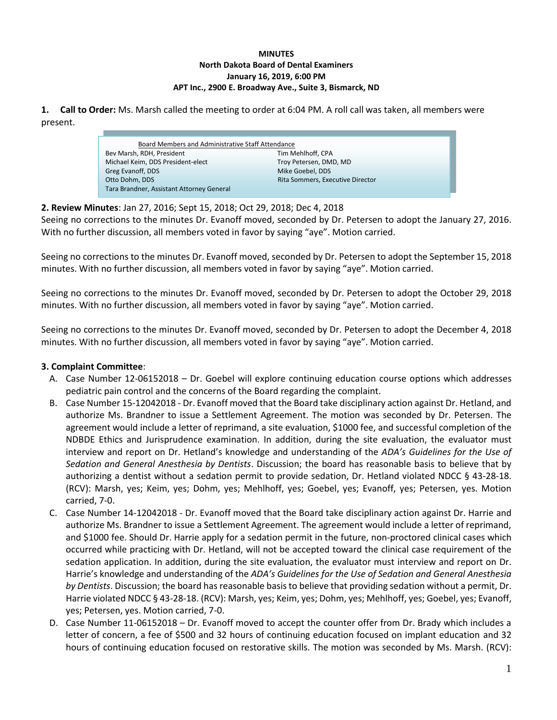## **MINUTES North Dakota Board of Dental Examiners January 16, 2019, 6:00 PM APT Inc., 2900 E. Broadway Ave., Suite 3, Bismarck, ND**

**1. Call to Order:** Ms. Marsh called the meeting to order at 6:04 PM. A roll call was taken, all members were present.

| Board Members and Administrative Staff Attendance |                                  |  |  |
|---------------------------------------------------|----------------------------------|--|--|
| Bev Marsh, RDH, President                         | Tim Mehlhoff, CPA                |  |  |
| Michael Keim, DDS President-elect                 | Troy Petersen, DMD, MD           |  |  |
| Greg Evanoff, DDS                                 | Mike Goebel, DDS                 |  |  |
| Otto Dohm, DDS                                    | Rita Sommers, Executive Director |  |  |
| Tara Brandner, Assistant Attorney General         |                                  |  |  |

**2. Review Minutes**: Jan 27, 2016; Sept 15, 2018; Oct 29, 2018; Dec 4, 2018 f

Seeing no corrections to the minutes Dr. Evanoff moved, seconded by Dr. Petersen to adopt the January 27, 2016. With no further discussion, all members voted in favor by saying "aye". Motion carried.

Seeing no corrections to the minutes Dr. Evanoff moved, seconded by Dr. Petersen to adopt the September 15, 2018 minutes. With no further discussion, all members voted in favor by saying "aye". Motion carried.

Seeing no corrections to the minutes Dr. Evanoff moved, seconded by Dr. Petersen to adopt the October 29, 2018 minutes. With no further discussion, all members voted in favor by saying "aye". Motion carried.

Seeing no corrections to the minutes Dr. Evanoff moved, seconded by Dr. Petersen to adopt the December 4, 2018 minutes. With no further discussion, all members voted in favor by saying "aye". Motion carried.

## **3. Complaint Committee**:

- A. Case Number 12-06152018 Dr. Goebel will explore continuing education course options which addresses pediatric pain control and the concerns of the Board regarding the complaint.
- B. Case Number 15-12042018 Dr. Evanoff moved that the Board take disciplinary action against Dr. Hetland, and authorize Ms. Brandner to issue a Settlement Agreement. The motion was seconded by Dr. Petersen. The agreement would include a letter of reprimand, a site evaluation, \$1000 fee, and successful completion of the NDBDE Ethics and Jurisprudence examination. In addition, during the site evaluation, the evaluator must interview and report on Dr. Hetland's knowledge and understanding of the *ADA's Guidelines for the Use of Sedation and General Anesthesia by Dentists*. Discussion; the board has reasonable basis to believe that by authorizing a dentist without a sedation permit to provide sedation, Dr. Hetland violated NDCC § 43-28-18. (RCV): Marsh, yes; Keim, yes; Dohm, yes; Mehlhoff, yes; Goebel, yes; Evanoff, yes; Petersen, yes. Motion carried, 7-0.
- C. Case Number 14-12042018 Dr. Evanoff moved that the Board take disciplinary action against Dr. Harrie and authorize Ms. Brandner to issue a Settlement Agreement. The agreement would include a letter of reprimand, and \$1000 fee. Should Dr. Harrie apply for a sedation permit in the future, non-proctored clinical cases which occurred while practicing with Dr. Hetland, will not be accepted toward the clinical case requirement of the sedation application. In addition, during the site evaluation, the evaluator must interview and report on Dr. Harrie's knowledge and understanding of the *ADA's Guidelines for the Use of Sedation and General Anesthesia by Dentists*. Discussion; the board has reasonable basis to believe that providing sedation without a permit, Dr. Harrie violated NDCC § 43-28-18. (RCV): Marsh, yes; Keim, yes; Dohm, yes; Mehlhoff, yes; Goebel, yes; Evanoff, yes; Petersen, yes. Motion carried, 7-0.
- D. Case Number 11-06152018 Dr. Evanoff moved to accept the counter offer from Dr. Brady which includes a letter of concern, a fee of \$500 and 32 hours of continuing education focused on implant education and 32 hours of continuing education focused on restorative skills. The motion was seconded by Ms. Marsh. (RCV):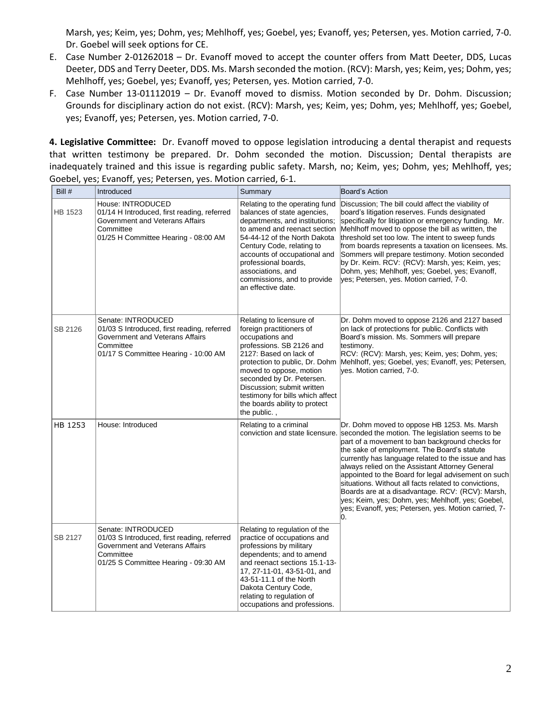Marsh, yes; Keim, yes; Dohm, yes; Mehlhoff, yes; Goebel, yes; Evanoff, yes; Petersen, yes. Motion carried, 7-0. Dr. Goebel will seek options for CE.

- E. Case Number 2-01262018 Dr. Evanoff moved to accept the counter offers from Matt Deeter, DDS, Lucas Deeter, DDS and Terry Deeter, DDS. Ms. Marsh seconded the motion. (RCV): Marsh, yes; Keim, yes; Dohm, yes; Mehlhoff, yes; Goebel, yes; Evanoff, yes; Petersen, yes. Motion carried, 7-0.
- F. Case Number 13-01112019 Dr. Evanoff moved to dismiss. Motion seconded by Dr. Dohm. Discussion; Grounds for disciplinary action do not exist. (RCV): Marsh, yes; Keim, yes; Dohm, yes; Mehlhoff, yes; Goebel, yes; Evanoff, yes; Petersen, yes. Motion carried, 7-0.

**4. Legislative Committee:** Dr. Evanoff moved to oppose legislation introducing a dental therapist and requests that written testimony be prepared. Dr. Dohm seconded the motion. Discussion; Dental therapists are inadequately trained and this issue is regarding public safety. Marsh, no; Keim, yes; Dohm, yes; Mehlhoff, yes; Goebel, yes; Evanoff, yes; Petersen, yes. Motion carried, 6-1.

| Bill #  | Introduced                                                                                                                                                | Summary                                                                                                                                                                                                                                                                                                                                    | Board's Action                                                                                                                                                                                                                                                                                                                                                                                                                                                                                                                                                                                                                      |
|---------|-----------------------------------------------------------------------------------------------------------------------------------------------------------|--------------------------------------------------------------------------------------------------------------------------------------------------------------------------------------------------------------------------------------------------------------------------------------------------------------------------------------------|-------------------------------------------------------------------------------------------------------------------------------------------------------------------------------------------------------------------------------------------------------------------------------------------------------------------------------------------------------------------------------------------------------------------------------------------------------------------------------------------------------------------------------------------------------------------------------------------------------------------------------------|
| HB 1523 | House: INTRODUCED<br>01/14 H Introduced, first reading, referred<br>Government and Veterans Affairs<br>Committee<br>01/25 H Committee Hearing - 08:00 AM  | Relating to the operating fund<br>balances of state agencies,<br>departments, and institutions;<br>to amend and reenact section<br>54-44-12 of the North Dakota<br>Century Code, relating to<br>accounts of occupational and<br>professional boards,<br>associations, and<br>commissions, and to provide<br>an effective date.             | Discussion; The bill could affect the viability of<br>board's litigation reserves. Funds designated<br>specifically for litigation or emergency funding. Mr.<br>Mehlhoff moved to oppose the bill as written, the<br>threshold set too low. The intent to sweep funds<br>from boards represents a taxation on licensees. Ms.<br>Sommers will prepare testimony. Motion seconded<br>by Dr. Keim. RCV: (RCV): Marsh, yes; Keim, yes;<br>Dohm, yes; Mehlhoff, yes; Goebel, yes; Evanoff,<br>yes; Petersen, yes. Motion carried, 7-0.                                                                                                   |
| SB 2126 | Senate: INTRODUCED<br>01/03 S Introduced, first reading, referred<br>Government and Veterans Affairs<br>Committee<br>01/17 S Committee Hearing - 10:00 AM | Relating to licensure of<br>foreign practitioners of<br>occupations and<br>professions. SB 2126 and<br>2127: Based on lack of<br>protection to public, Dr. Dohm<br>moved to oppose, motion<br>seconded by Dr. Petersen.<br>Discussion; submit written<br>testimony for bills which affect<br>the boards ability to protect<br>the public., | Dr. Dohm moved to oppose 2126 and 2127 based<br>on lack of protections for public. Conflicts with<br>Board's mission. Ms. Sommers will prepare<br>testimony.<br>RCV: (RCV): Marsh, yes; Keim, yes; Dohm, yes;<br>Mehlhoff, yes; Goebel, yes; Evanoff, yes; Petersen,<br>ves. Motion carried, 7-0.                                                                                                                                                                                                                                                                                                                                   |
| HB 1253 | House: Introduced                                                                                                                                         | Relating to a criminal                                                                                                                                                                                                                                                                                                                     | Dr. Dohm moved to oppose HB 1253. Ms. Marsh<br>conviction and state licensure. Seconded the motion. The legislation seems to be<br>part of a movement to ban background checks for<br>the sake of employment. The Board's statute<br>currently has language related to the issue and has<br>always relied on the Assistant Attorney General<br>appointed to the Board for legal advisement on such<br>situations. Without all facts related to convictions,<br>Boards are at a disadvantage. RCV: (RCV): Marsh,<br>yes; Keim, yes; Dohm, yes; Mehlhoff, yes; Goebel,<br>yes; Evanoff, yes; Petersen, yes. Motion carried, 7-<br>lO. |
| SB 2127 | Senate: INTRODUCED<br>01/03 S Introduced, first reading, referred<br>Government and Veterans Affairs<br>Committee<br>01/25 S Committee Hearing - 09:30 AM | Relating to regulation of the<br>practice of occupations and<br>professions by military<br>dependents; and to amend<br>and reenact sections 15.1-13-<br>17, 27-11-01, 43-51-01, and<br>43-51-11.1 of the North<br>Dakota Century Code,<br>relating to regulation of<br>occupations and professions.                                        |                                                                                                                                                                                                                                                                                                                                                                                                                                                                                                                                                                                                                                     |